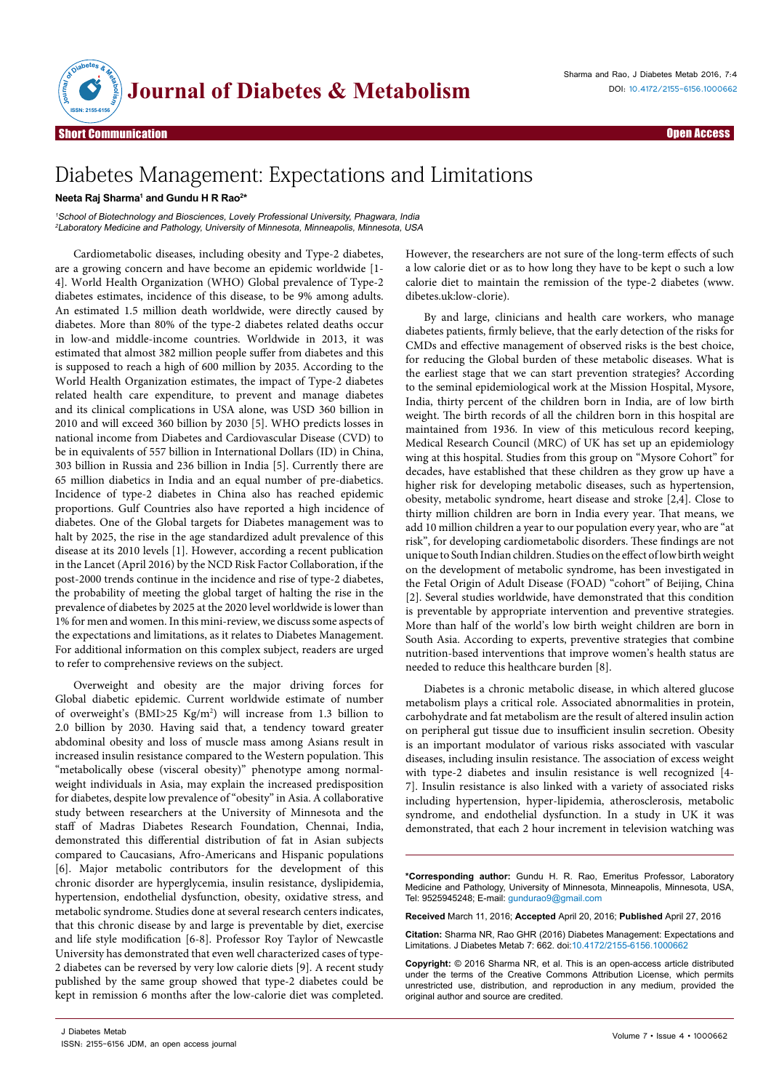

Open Access

## Diabetes Management: Expectations and Limitations

## $\epsilon$ Neeta Raj Sharma<sup>1</sup> and Gundu H R Rao<sup>2\*</sup>

<sup>1</sup>School of Biotechnology and Biosciences, Lovely Professional University, Phagwara, India <sup>2</sup>Laboratory Medicine and Pathology, University of Minnesota, Minneapolis, Minnesota, USA

Cardiometabolic diseases, including obesity and Type-2 diabetes, are a growing concern and have become an epidemic worldwide [1- 4]. World Health Organization (WHO) Global prevalence of Type-2 diabetes estimates, incidence of this disease, to be 9% among adults. An estimated 1.5 million death worldwide, were directly caused by diabetes. More than 80% of the type-2 diabetes related deaths occur in low-and middle-income countries. Worldwide in 2013, it was estimated that almost 382 million people suffer from diabetes and this is supposed to reach a high of 600 million by 2035. According to the World Health Organization estimates, the impact of Type-2 diabetes related health care expenditure, to prevent and manage diabetes and its clinical complications in USA alone, was USD 360 billion in 2010 and will exceed 360 billion by 2030 [5]. WHO predicts losses in national income from Diabetes and Cardiovascular Disease (CVD) to be in equivalents of 557 billion in International Dollars (ID) in China, 303 billion in Russia and 236 billion in India [5]. Currently there are 65 million diabetics in India and an equal number of pre-diabetics. Incidence of type-2 diabetes in China also has reached epidemic proportions. Gulf Countries also have reported a high incidence of diabetes. One of the Global targets for Diabetes management was to halt by 2025, the rise in the age standardized adult prevalence of this disease at its 2010 levels [1]. However, according a recent publication in the Lancet (April 2016) by the NCD Risk Factor Collaboration, if the post-2000 trends continue in the incidence and rise of type-2 diabetes, the probability of meeting the global target of halting the rise in the prevalence of diabetes by 2025 at the 2020 level worldwide is lower than 1% for men and women. In this mini-review, we discuss some aspects of the expectations and limitations, as it relates to Diabetes Management. For additional information on this complex subject, readers are urged to refer to comprehensive reviews on the subject.

Overweight and obesity are the major driving forces for Global diabetic epidemic. Current worldwide estimate of number of overweight's (BMI>25 Kg/m2 ) will increase from 1.3 billion to 2.0 billion by 2030. Having said that, a tendency toward greater abdominal obesity and loss of muscle mass among Asians result in increased insulin resistance compared to the Western population. This "metabolically obese (visceral obesity)" phenotype among normalweight individuals in Asia, may explain the increased predisposition for diabetes, despite low prevalence of "obesity" in Asia. A collaborative study between researchers at the University of Minnesota and the staff of Madras Diabetes Research Foundation, Chennai, India, demonstrated this differential distribution of fat in Asian subjects compared to Caucasians, Afro-Americans and Hispanic populations [6]. Major metabolic contributors for the development of this chronic disorder are hyperglycemia, insulin resistance, dyslipidemia, hypertension, endothelial dysfunction, obesity, oxidative stress, and metabolic syndrome. Studies done at several research centers indicates, that this chronic disease by and large is preventable by diet, exercise and life style modification [6-8]. Professor Roy Taylor of Newcastle University has demonstrated that even well characterized cases of type-2 diabetes can be reversed by very low calorie diets [9]. A recent study published by the same group showed that type-2 diabetes could be kept in remission 6 months after the low-calorie diet was completed.

However, the researchers are not sure of the long-term effects of such a low calorie diet or as to how long they have to be kept o such a low calorie diet to maintain the remission of the type-2 diabetes [\(www.](http://www.dibetes.uk:low-clorie) [dibetes.uk:low-clorie](http://www.dibetes.uk:low-clorie)).

By and large, clinicians and health care workers, who manage diabetes patients, firmly believe, that the early detection of the risks for CMDs and effective management of observed risks is the best choice, for reducing the Global burden of these metabolic diseases. What is the earliest stage that we can start prevention strategies? According to the seminal epidemiological work at the Mission Hospital, Mysore, India, thirty percent of the children born in India, are of low birth weight. The birth records of all the children born in this hospital are maintained from 1936. In view of this meticulous record keeping, Medical Research Council (MRC) of UK has set up an epidemiology wing at this hospital. Studies from this group on "Mysore Cohort" for decades, have established that these children as they grow up have a higher risk for developing metabolic diseases, such as hypertension, obesity, metabolic syndrome, heart disease and stroke [2,4]. Close to thirty million children are born in India every year. That means, we add 10 million children a year to our population every year, who are "at risk", for developing cardiometabolic disorders. These findings are not unique to South Indian children. Studies on the effect of low birth weight on the development of metabolic syndrome, has been investigated in the Fetal Origin of Adult Disease (FOAD) "cohort" of Beijing, China [2]. Several studies worldwide, have demonstrated that this condition is preventable by appropriate intervention and preventive strategies. More than half of the world's low birth weight children are born in South Asia. According to experts, preventive strategies that combine nutrition-based interventions that improve women's health status are needed to reduce this healthcare burden [8].

Diabetes is a chronic metabolic disease, in which altered glucose metabolism plays a critical role. Associated abnormalities in protein, carbohydrate and fat metabolism are the result of altered insulin action on peripheral gut tissue due to insufficient insulin secretion. Obesity is an important modulator of various risks associated with vascular diseases, including insulin resistance. The association of excess weight with type-2 diabetes and insulin resistance is well recognized [4- 7]. Insulin resistance is also linked with a variety of associated risks including hypertension, hyper-lipidemia, atherosclerosis, metabolic syndrome, and endothelial dysfunction. In a study in UK it was demonstrated, that each 2 hour increment in television watching was

**\*Corresponding author:** Gundu H. R. Rao, Emeritus Professor, Laboratory Medicine and Pathology, University of Minnesota, Minneapolis, Minnesota, USA, Tel: 9525945248; E-mail: gundurao9@gmail.com

**Received** March 11, 2016; **Accepted** April 20, 2016; **Published** April 27, 2016

**Citation:** Sharma NR, Rao GHR (2016) Diabetes Management: Expectations and Limitations. J Diabetes Metab 7: 662. doi:10.4172/2155-6156.1000662

**Copyright:** © 2016 Sharma NR, et al. This is an open-access article distributed under the terms of the Creative Commons Attribution License, which permits unrestricted use, distribution, and reproduction in any medium, provided the original author and source are credited.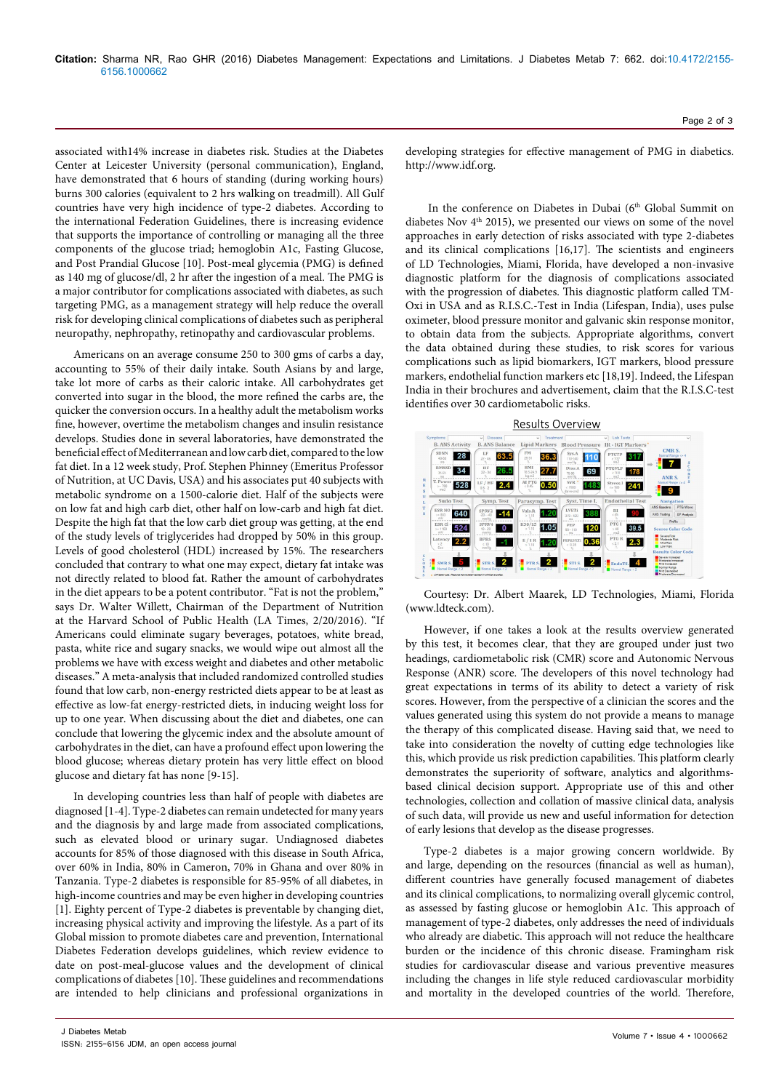associated with14% increase in diabetes risk. Studies at the Diabetes Center at Leicester University (personal communication), England, have demonstrated that 6 hours of standing (during working hours) burns 300 calories (equivalent to 2 hrs walking on treadmill). All Gulf countries have very high incidence of type-2 diabetes. According to the international Federation Guidelines, there is increasing evidence that supports the importance of controlling or managing all the three components of the glucose triad; hemoglobin A1c, Fasting Glucose, and Post Prandial Glucose [10]. Post-meal glycemia (PMG) is defined as 140 mg of glucose/dl, 2 hr after the ingestion of a meal. The PMG is a major contributor for complications associated with diabetes, as such targeting PMG, as a management strategy will help reduce the overall risk for developing clinical complications of diabetes such as peripheral neuropathy, nephropathy, retinopathy and cardiovascular problems.

Americans on an average consume 250 to 300 gms of carbs a day, accounting to 55% of their daily intake. South Asians by and large, take lot more of carbs as their caloric intake. All carbohydrates get converted into sugar in the blood, the more refined the carbs are, the quicker the conversion occurs. In a healthy adult the metabolism works fine, however, overtime the metabolism changes and insulin resistance develops. Studies done in several laboratories, have demonstrated the beneficial effect of Mediterranean and low carb diet, compared to the low fat diet. In a 12 week study, Prof. Stephen Phinney (Emeritus Professor of Nutrition, at UC Davis, USA) and his associates put 40 subjects with metabolic syndrome on a 1500-calorie diet. Half of the subjects were on low fat and high carb diet, other half on low-carb and high fat diet. Despite the high fat that the low carb diet group was getting, at the end of the study levels of triglycerides had dropped by 50% in this group. Levels of good cholesterol (HDL) increased by 15%. The researchers concluded that contrary to what one may expect, dietary fat intake was not directly related to blood fat. Rather the amount of carbohydrates in the diet appears to be a potent contributor. "Fat is not the problem," says Dr. Walter Willett, Chairman of the Department of Nutrition at the Harvard School of Public Health (LA Times, 2/20/2016). "If Americans could eliminate sugary beverages, potatoes, white bread, pasta, white rice and sugary snacks, we would wipe out almost all the problems we have with excess weight and diabetes and other metabolic diseases." A meta-analysis that included randomized controlled studies found that low carb, non-energy restricted diets appear to be at least as effective as low-fat energy-restricted diets, in inducing weight loss for up to one year. When discussing about the diet and diabetes, one can conclude that lowering the glycemic index and the absolute amount of carbohydrates in the diet, can have a profound effect upon lowering the blood glucose; whereas dietary protein has very little effect on blood glucose and dietary fat has none [9-15].

In developing countries less than half of people with diabetes are diagnosed [1-4]. Type-2 diabetes can remain undetected for many years and the diagnosis by and large made from associated complications, such as elevated blood or urinary sugar. Undiagnosed diabetes accounts for 85% of those diagnosed with this disease in South Africa, over 60% in India, 80% in Cameron, 70% in Ghana and over 80% in Tanzania. Type-2 diabetes is responsible for 85-95% of all diabetes, in high-income countries and may be even higher in developing countries [1]. Eighty percent of Type-2 diabetes is preventable by changing diet, increasing physical activity and improving the lifestyle. As a part of its Global mission to promote diabetes care and prevention, International Diabetes Federation develops guidelines, which review evidence to date on post-meal-glucose values and the development of clinical complications of diabetes [10]. These guidelines and recommendations are intended to help clinicians and professional organizations in

Page 2 of 3

developing strategies for effective management of PMG in diabetics. [http://www.idf.org.](http://www.idf.org)

In the conference on Diabetes in Dubai (6<sup>th</sup> Global Summit on diabetes Nov  $4<sup>th</sup>$  2015), we presented our views on some of the novel approaches in early detection of risks associated with type 2-diabetes and its clinical complications [16,17]. The scientists and engineers of LD Technologies, Miami, Florida, have developed a non-invasive diagnostic platform for the diagnosis of complications associated with the progression of diabetes. This diagnostic platform called TM-Oxi in USA and as R.I.S.C.-Test in India (Lifespan, India), uses pulse oximeter, blood pressure monitor and galvanic skin response monitor, to obtain data from the subjects. Appropriate algorithms, convert the data obtained during these studies, to risk scores for various complications such as lipid biomarkers, IGT markers, blood pressure markers, endothelial function markers etc [18,19]. Indeed, the Lifespan India in their brochures and advertisement, claim that the R.I.S.C-test identifies over 30 cardiometabolic risks.



Courtesy: Dr. Albert Maarek, LD Technologies, Miami, Florida [\(www.ldteck.com\)](http://www.ldteck.com).

However, if one takes a look at the results overview generated by this test, it becomes clear, that they are grouped under just two headings, cardiometabolic risk (CMR) score and Autonomic Nervous Response (ANR) score. The developers of this novel technology had great expectations in terms of its ability to detect a variety of risk scores. However, from the perspective of a clinician the scores and the values generated using this system do not provide a means to manage the therapy of this complicated disease. Having said that, we need to take into consideration the novelty of cutting edge technologies like this, which provide us risk prediction capabilities. This platform clearly demonstrates the superiority of software, analytics and algorithmsbased clinical decision support. Appropriate use of this and other technologies, collection and collation of massive clinical data, analysis of such data, will provide us new and useful information for detection of early lesions that develop as the disease progresses.

Type-2 diabetes is a major growing concern worldwide. By and large, depending on the resources (financial as well as human), different countries have generally focused management of diabetes and its clinical complications, to normalizing overall glycemic control, as assessed by fasting glucose or hemoglobin A1c. This approach of management of type-2 diabetes, only addresses the need of individuals who already are diabetic. This approach will not reduce the healthcare burden or the incidence of this chronic disease. Framingham risk studies for cardiovascular disease and various preventive measures including the changes in life style reduced cardiovascular morbidity and mortality in the developed countries of the world. Therefore,